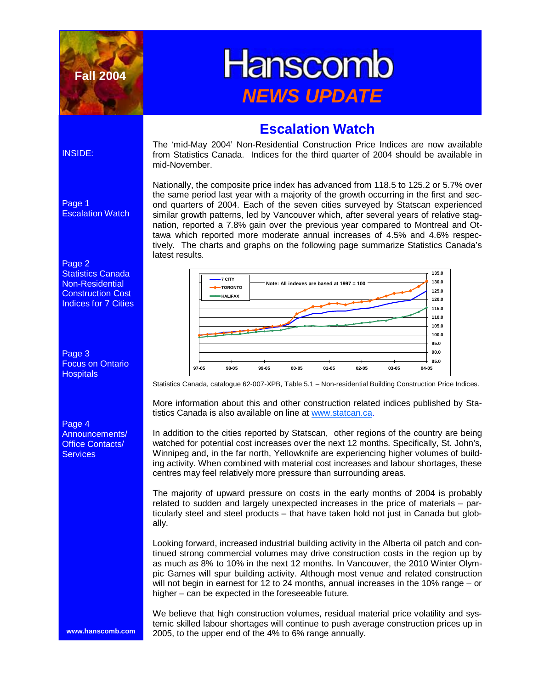

# **Hanscomb** *NEWS UPDATE*

### **Escalation Watch**

The 'mid-May 2004' Non-Residential Construction Price Indices are now available from Statistics Canada. Indices for the third quarter of 2004 should be available in mid-November.

Nationally, the composite price index has advanced from 118.5 to 125.2 or 5.7% over the same period last year with a majority of the growth occurring in the first and second quarters of 2004. Each of the seven cities surveyed by Statscan experienced similar growth patterns, led by Vancouver which, after several years of relative stagnation, reported a 7.8% gain over the previous year compared to Montreal and Ottawa which reported more moderate annual increases of 4.5% and 4.6% respectively. The charts and graphs on the following page summarize Statistics Canada's latest results.



Statistics Canada, catalogue 62-007-XPB, Table 5.1 – Non-residential Building Construction Price Indices.

More information about this and other construction related indices published by Statistics Canada is also available on line at www.statcan.ca.

In addition to the cities reported by Statscan, other regions of the country are being watched for potential cost increases over the next 12 months. Specifically, St. John's, Winnipeg and, in the far north, Yellowknife are experiencing higher volumes of building activity. When combined with material cost increases and labour shortages, these centres may feel relatively more pressure than surrounding areas.

The majority of upward pressure on costs in the early months of 2004 is probably related to sudden and largely unexpected increases in the price of materials – particularly steel and steel products – that have taken hold not just in Canada but globally.

Looking forward, increased industrial building activity in the Alberta oil patch and continued strong commercial volumes may drive construction costs in the region up by as much as 8% to 10% in the next 12 months. In Vancouver, the 2010 Winter Olympic Games will spur building activity. Although most venue and related construction will not begin in earnest for 12 to 24 months, annual increases in the 10% range – or higher – can be expected in the foreseeable future.

We believe that high construction volumes, residual material price volatility and systemic skilled labour shortages will continue to push average construction prices up in 2005, to the upper end of the 4% to 6% range annually.

#### INSIDE:

Page 1 Escalation Watch



Page 3 Focus on Ontario **Hospitals** 



**www.hanscomb.com**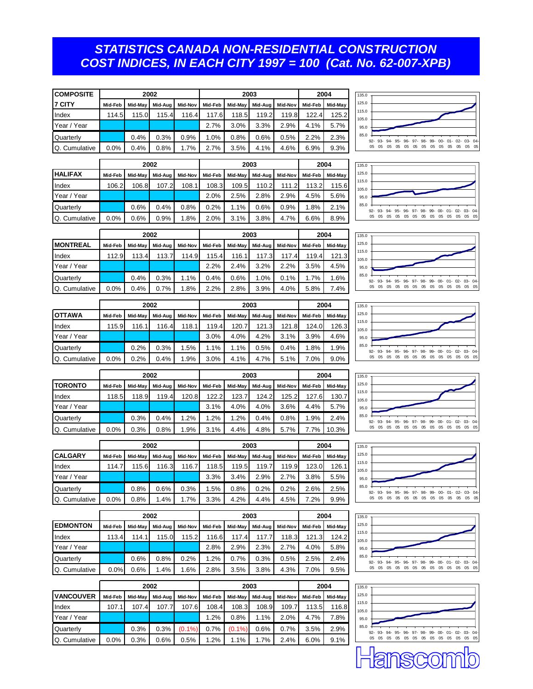#### *STATISTICS CANADA NON-RESIDENTIAL CONSTRUCTION COST INDICES, IN EACH CITY 1997 = 100 (Cat. No. 62-007-XPB)*

| <b>COMPOSITE</b>     |         |         | 2002    |         |         | 2003    |         | 2004    |         |         |
|----------------------|---------|---------|---------|---------|---------|---------|---------|---------|---------|---------|
| 7 CITY               | Mid-Feb | Mid-May | Mid-Aug | Mid-Nov | Mid-Feb | Mid-May | Mid-Aug | Mid-Nov | Mid-Feb | Mid-May |
| Index                | 114.5   | 115.0   | 115.4   | 116.4   | 117.6   | 118.5   | 119.2   | 119.8   | 122.4   | 125.2   |
| Year / Year          |         |         |         |         | 2.7%    | 3.0%    | 3.3%    | 2.9%    | 4.1%    | 5.7%    |
| Quarterly            |         | 0.4%    | 0.3%    | 0.9%    | 1.0%    | 0.8%    | 0.6%    | 0.5%    | 2.2%    | 2.3%    |
| <b>Q.</b> Cumulative | $0.0\%$ | 0.4%    | 0.8%    | 1.7%    | 2.7%    | 3.5%    | 4.1%    | 4.6%    | 6.9%    | 9.3%    |

|                      |         |         | 2002    |         |         | 2003    |         | 2004    |         |         |
|----------------------|---------|---------|---------|---------|---------|---------|---------|---------|---------|---------|
| <b>IHALIFAX</b>      | Mid-Feb | Mid-May | Mid-Aua | Mid-Nov | Mid-Feb | Mid-May | Mid-Aug | Mid-Nov | Mid-Feb | Mid-May |
| Index                | 106.2   | 106.8   | 107.2   | 108.1   | 108.3   | 109.5   | 110.2   | 111.2   | 113.2   | 115.6   |
| Year / Year          |         |         |         |         | 2.0%    | 2.5%    | 2.8%    | 2.9%    | 4.5%    | 5.6%    |
| <b>Quarterly</b>     |         | 0.6%    | 0.4%    | 0.8%    | 0.2%    | 1.1%    | 0.6%    | 0.9%    | 1.8%    | 2.1%    |
| <b>Q.</b> Cumulative | 0.0%    | 0.6%    | 0.9%    | 1.8%    | 2.0%    | 3.1%    | 3.8%    | 4.7%    | 6.6%    | 8.9%    |

**2002 2003 2004**







|     |         |         | 2003    |                | 2004    |         |  | 135.0          |                                                     |     |    |    |    |    |    |    |     |    |       |
|-----|---------|---------|---------|----------------|---------|---------|--|----------------|-----------------------------------------------------|-----|----|----|----|----|----|----|-----|----|-------|
| v l | Mid-Feb | Mid-May | Mid-Aug | <b>Mid-Nov</b> | Mid-Feb | Mid-May |  | 125.0          |                                                     |     |    |    |    |    |    |    |     |    |       |
| 1   | 119.4   | 120.7   | 121.3   | 121.8          | 124.0   | 126.3   |  | 115.0<br>105.0 |                                                     |     |    |    |    |    |    |    |     |    |       |
|     | 3.0%    | 4.0%    | 4.2%    | 3.1%           | 3.9%    | 4.6%    |  | 95.0           |                                                     |     |    |    |    |    |    |    |     |    |       |
|     | 1.1%    | 1.1%    | 0.5%    | 0.4%           | 1.8%    | 1.9%    |  | 85.0           | 92- 93- 94- 95- 96- 97- 98- 99- 00- 01- 02- 03- 04- |     |    |    |    |    |    |    |     |    |       |
|     | 3.0%    | 4.1%    | 4.7%    | 5.1%           | 7.0%    | 9.0%    |  |                | 05<br>05                                            | 0.5 | 05 | 05 | 05 | 05 | 05 | 05 | 0.5 | 05 | 05 05 |

|               |         |         | 2002    |         |         | 2003            |         | 2004    |         |         |
|---------------|---------|---------|---------|---------|---------|-----------------|---------|---------|---------|---------|
| <b>OTTAWA</b> | Mid-Feb | Mid-May | Mid-Aug | Mid-Nov |         | Mid-Feb Mid-May | Mid-Aug | Mid-Nov | Mid-Feb | Mid-May |
| Index         | 115.9   | 116.1   | 116.4   | 118.1   | 119.4   | 120.7           | 121.3   | 121.8   | 124.0   | 126.3   |
| Year / Year   |         |         |         |         | 3.0%    | 4.0%            | 4.2%    | 3.1%    | 3.9%    | 4.6%    |
| Quarterly     |         | 0.2%    | 0.3%    | 1.5%    | $1.1\%$ | 1.1%            | 0.5%    | 0.4%    | 1.8%    | 1.9%    |
| Q. Cumulative | 0.0%    | 0.2%    | 0.4%    | 1.9%    | 3.0%    | 4.1%            | 4.7%    | 5.1%    | 7.0%    | 9.0%    |

|                |         |       | 2002  |                                                                     |         |       | 2003  |       |         | 2004    | 135.0          |                                                     |
|----------------|---------|-------|-------|---------------------------------------------------------------------|---------|-------|-------|-------|---------|---------|----------------|-----------------------------------------------------|
| <b>TORONTO</b> | Mid-Feb |       |       | Mid-May   Mid-Aug   Mid-Nov   Mid-Feb   Mid-May   Mid-Aug   Mid-Nov |         |       |       |       | Mid-Feb | Mid-May | 125.0          |                                                     |
| Index          | 18.5    | 118.9 | 119.4 | 120.8                                                               | 122.21  | 123.7 | 124.2 | 125.2 | 127.6   | 130.7   | 115.0<br>105.0 |                                                     |
| Year / Year    |         |       |       |                                                                     | 3.1%    | 4.0%  | 4.0%  | 3.6%  | 4.4%    | 5.7%    | 95.0           |                                                     |
| Quarterly      |         | 0.3%  | 0.4%  | .2%                                                                 | $1.2\%$ | .2%   | 0.4%  | 0.8%  | .9%     | 2.4%    | 85.0           | 92- 93- 94- 95- 96- 97- 98- 99- 00- 01- 02- 03- 04- |
| Q. Cumulative  | $0.0\%$ | 0.3%  | 0.8%  | .9%                                                                 | $3.1\%$ | 4.4%  | 4.8%  | 5.7%  | .7%     | 10.3%   |                |                                                     |

|                  |         |         | 2002    |         |         | 2003    | 2004    |         |         |         |
|------------------|---------|---------|---------|---------|---------|---------|---------|---------|---------|---------|
| <b>CALGARY</b>   | Mid-Feb | Mid-May | Mid-Aug | Mid-Nov | Mid-Feb | Mid-May | Mid-Aug | Mid-Nov | Mid-Feb | Mid-May |
| Index            | 114.7   | 115.6l  | 116.3   | 116.7   | 118.5   | 119.5   | 119.7   | 119.9   | 123.0   | 126.1   |
| Year / Year      |         |         |         |         | 3.3%    | 3.4%    | 2.9%    | 2.7%    | 3.8%    | 5.5%    |
| <b>Quarterly</b> |         | 0.8%    | 0.6%    | 0.3%    | 1.5%    | 0.8%    | 0.2%    | 0.2%    | 2.6%    | 2.5%    |
| Q. Cumulative    | 0.0%    | 0.8%    | .4%     | 1.7%    | 3.3%    | 4.2%    | 4.4%    | 4.5%    | 7.2%    | 9.9%    |

|                 |         |         | 2002    |         |         | 2003    |         | 2004    |         |         |
|-----------------|---------|---------|---------|---------|---------|---------|---------|---------|---------|---------|
| <b>EDMONTON</b> | Mid-Feb | Mid-Mav | Mid-Aua | Mid-Nov | Mid-Feb | Mid-May | Mid-Aua | Mid-Nov | Mid-Feb | Mid-May |
| Index           | 113.4   | 114.1   | 115.0   | 115.2   | 116.6   | 117.4   | 117.7   | 118.3   | 121.3   | 124.2   |
| Year / Year     |         |         |         |         | 2.8%    | 2.9%    | 2.3%    | 2.7%    | 4.0%    | 5.8%    |
| Quarterly       |         | 0.6%    | 0.8%    | 0.2%    | 1.2%    | 0.7%    | 0.3%    | 0.5%    | 2.5%    | 2.4%    |
| Q. Cumulative   | 0.0%    | 0.6%    | 1.4%    | 1.6%    | 2.8%    | 3.5%    | 3.8%    | 4.3%    | 7.0%    | 9.5%    |

|                  |         |         | 2002    |           |         | 2003      | 2004    |         |         |         |
|------------------|---------|---------|---------|-----------|---------|-----------|---------|---------|---------|---------|
| <b>VANCOUVER</b> | Mid-Feb | Mid-May | Mid-Aua | Mid-Nov   | Mid-Feb | Mid-May   | Mid-Aua | Mid-Nov | Mid-Feb | Mid-May |
| Index            | 107.1   | 107.4   | 107.7   | 107.6     | 108.4   | 108.3     | 108.9   | 109.7   | 113.5   | 116.8   |
| Year / Year      |         |         |         |           | 1.2%    | 0.8%      | 1.1%    | 2.0%    | 4.7%    | 7.8%    |
| Quarterly        |         | 0.3%    | 0.3%    | $(0.1\%)$ | 0.7%    | $(0.1\%)$ | 0.6%    | 0.7%    | 3.5%    | 2.9%    |
| Q. Cumulative    | 0.0%    | 0.3%    | 0.6%    | 0.5%      | 1.2%    | 1.1%      | 1.7%    | 2.4%    | 6.0%    | 9.1%    |







ৰ্শ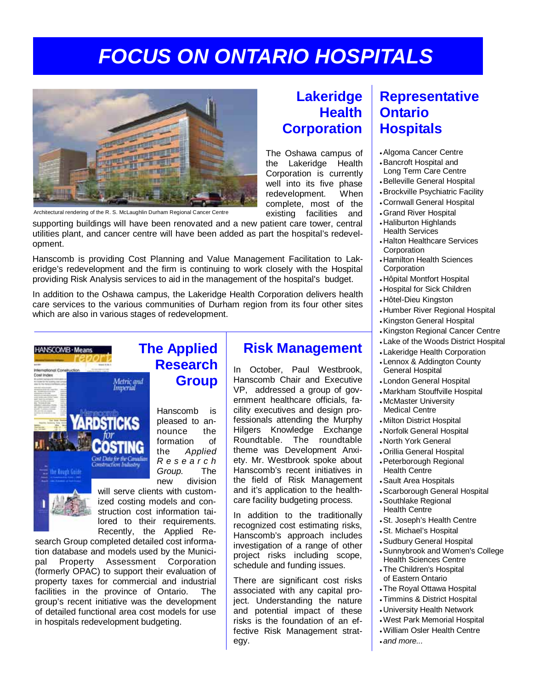## *FOCUS ON ONTARIO HOSPITALS*



Architectural rendering of the R. S. McLaughlin Durham Regional Cancer Centre

supporting buildings will have been renovated and a new patient care tower, central utilities plant, and cancer centre will have been added as part the hospital's redevelopment.

Hanscomb is providing Cost Planning and Value Management Facilitation to Lakeridge's redevelopment and the firm is continuing to work closely with the Hospital providing Risk Analysis services to aid in the management of the hospital's budget.

In addition to the Oshawa campus, the Lakeridge Health Corporation delivers health care services to the various communities of Durham region from its four other sites which are also in various stages of redevelopment.



**Research Group**

Hanscomb is pleased to announce the formation of the *Applied R e s e a r c h Group.* The new division

will serve clients with customized costing models and construction cost information tailored to their requirements. Recently, the Applied Re-

search Group completed detailed cost information database and models used by the Municipal Property Assessment Corporation (formerly OPAC) to support their evaluation of property taxes for commercial and industrial facilities in the province of Ontario. The group's recent initiative was the development of detailed functional area cost models for use in hospitals redevelopment budgeting.

### **Lakeridge Health Corporation**

The Oshawa campus of the Lakeridge Health Corporation is currently well into its five phase redevelopment. When complete, most of the existing facilities and

In October, Paul Westbrook, Hanscomb Chair and Executive VP, addressed a group of government healthcare officials, facility executives and design professionals attending the Murphy Hilgers Knowledge Exchange Roundtable. The roundtable theme was Development Anxiety. Mr. Westbrook spoke about Hanscomb's recent initiatives in the field of Risk Management and it's application to the healthcare facility budgeting process. In addition to the traditionally recognized cost estimating risks, Hanscomb's approach includes investigation of a range of other project risks including scope, schedule and funding issues.

**Risk Management**

There are significant cost risks associated with any capital project. Understanding the nature and potential impact of these risks is the foundation of an effective Risk Management strat-

egy.

Long Term Care Centre • Belleville General Hospital • Brockville Psychiatric Facility

• Algoma Cancer Centre • Bancroft Hospital and

**Ontario** 

**Hospitals** 

**Representative** 

- Cornwall General Hospital
- Grand River Hospital
- Haliburton Highlands Health Services
- Halton Healthcare Services Corporation
- Hamilton Health Sciences Corporation
- Hôpital Montfort Hospital
- Hospital for Sick Children
- Hôtel-Dieu Kingston
- Humber River Regional Hospital
- Kingston General Hospital
- Kingston Regional Cancer Centre
- Lake of the Woods District Hospital
- Lakeridge Health Corporation
- Lennox & Addington County General Hospital
- London General Hospital
- Markham Stouffville Hospital
- McMaster University Medical Centre
- Milton District Hospital
- Norfolk General Hospital
- North York General
- Orillia General Hospital
- Peterborough Regional Health Centre
- Sault Area Hospitals
- Scarborough General Hospital
- Southlake Regional Health Centre
- St. Joseph's Health Centre
- St. Michael's Hospital
- Sudbury General Hospital
- Sunnybrook and Women's College
- Health Sciences Centre • The Children's Hospital of Eastern Ontario
- The Royal Ottawa Hospital
- Timmins & District Hospital
- University Health Network
- West Park Memorial Hospital
- William Osler Health Centre
- *and more...*